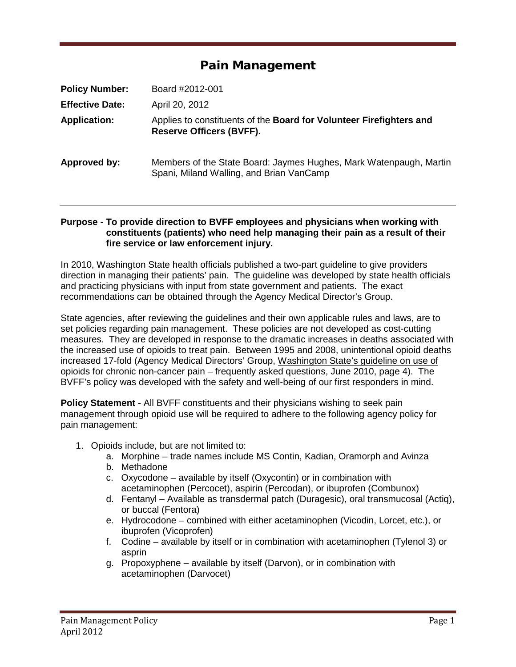## Pain Management

| <b>Policy Number:</b>  | Board #2012-001                                                                                                |
|------------------------|----------------------------------------------------------------------------------------------------------------|
| <b>Effective Date:</b> | April 20, 2012                                                                                                 |
| <b>Application:</b>    | Applies to constituents of the Board for Volunteer Firefighters and<br><b>Reserve Officers (BVFF).</b>         |
| Approved by:           | Members of the State Board: Jaymes Hughes, Mark Watenpaugh, Martin<br>Spani, Miland Walling, and Brian VanCamp |

## **Purpose - To provide direction to BVFF employees and physicians when working with constituents (patients) who need help managing their pain as a result of their fire service or law enforcement injury.**

In 2010, Washington State health officials published a two-part guideline to give providers direction in managing their patients' pain. The guideline was developed by state health officials and practicing physicians with input from state government and patients. The exact recommendations can be obtained through the Agency Medical Director's Group.

State agencies, after reviewing the guidelines and their own applicable rules and laws, are to set policies regarding pain management. These policies are not developed as cost-cutting measures. They are developed in response to the dramatic increases in deaths associated with the increased use of opioids to treat pain. Between 1995 and 2008, unintentional opioid deaths increased 17-fold (Agency Medical Directors' Group, Washington State's guideline on use of opioids for chronic non-cancer pain – frequently asked questions, June 2010, page 4). The BVFF's policy was developed with the safety and well-being of our first responders in mind.

**Policy Statement -** All BVFF constituents and their physicians wishing to seek pain management through opioid use will be required to adhere to the following agency policy for pain management:

- 1. Opioids include, but are not limited to:
	- a. Morphine trade names include MS Contin, Kadian, Oramorph and Avinza
	- b. Methadone
	- c. Oxycodone available by itself (Oxycontin) or in combination with acetaminophen (Percocet), aspirin (Percodan), or ibuprofen (Combunox)
	- d. Fentanyl Available as transdermal patch (Duragesic), oral transmucosal (Actiq), or buccal (Fentora)
	- e. Hydrocodone combined with either acetaminophen (Vicodin, Lorcet, etc.), or ibuprofen (Vicoprofen)
	- f. Codine available by itself or in combination with acetaminophen (Tylenol 3) or asprin
	- g. Propoxyphene available by itself (Darvon), or in combination with acetaminophen (Darvocet)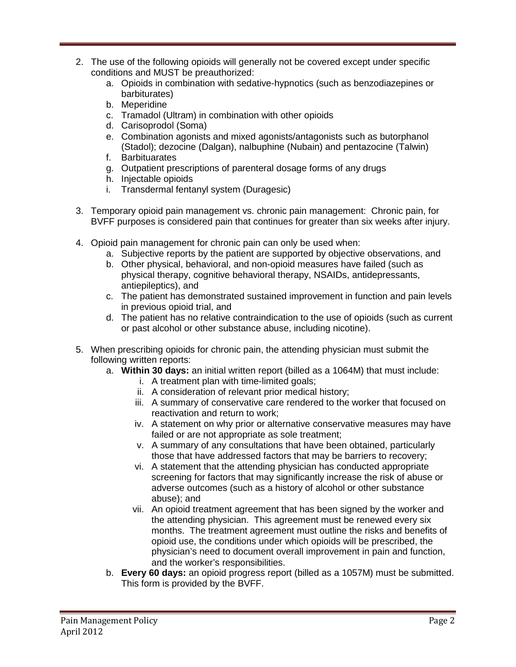- 2. The use of the following opioids will generally not be covered except under specific conditions and MUST be preauthorized:
	- a. Opioids in combination with sedative-hypnotics (such as benzodiazepines or barbiturates)
	- b. Meperidine
	- c. Tramadol (Ultram) in combination with other opioids
	- d. Carisoprodol (Soma)
	- e. Combination agonists and mixed agonists/antagonists such as butorphanol (Stadol); dezocine (Dalgan), nalbuphine (Nubain) and pentazocine (Talwin)
	- f. Barbituarates
	- g. Outpatient prescriptions of parenteral dosage forms of any drugs
	- h. Injectable opioids
	- i. Transdermal fentanyl system (Duragesic)
- 3. Temporary opioid pain management vs. chronic pain management: Chronic pain, for BVFF purposes is considered pain that continues for greater than six weeks after injury.
- 4. Opioid pain management for chronic pain can only be used when:
	- a. Subjective reports by the patient are supported by objective observations, and
	- b. Other physical, behavioral, and non-opioid measures have failed (such as physical therapy, cognitive behavioral therapy, NSAIDs, antidepressants, antiepileptics), and
	- c. The patient has demonstrated sustained improvement in function and pain levels in previous opioid trial, and
	- d. The patient has no relative contraindication to the use of opioids (such as current or past alcohol or other substance abuse, including nicotine).
- 5. When prescribing opioids for chronic pain, the attending physician must submit the following written reports:
	- a. **Within 30 days:** an initial written report (billed as a 1064M) that must include:
		- i. A treatment plan with time-limited goals;
		- ii. A consideration of relevant prior medical history;
		- iii. A summary of conservative care rendered to the worker that focused on reactivation and return to work;
		- iv. A statement on why prior or alternative conservative measures may have failed or are not appropriate as sole treatment;
		- v. A summary of any consultations that have been obtained, particularly those that have addressed factors that may be barriers to recovery;
		- vi. A statement that the attending physician has conducted appropriate screening for factors that may significantly increase the risk of abuse or adverse outcomes (such as a history of alcohol or other substance abuse); and
		- vii. An opioid treatment agreement that has been signed by the worker and the attending physician. This agreement must be renewed every six months. The treatment agreement must outline the risks and benefits of opioid use, the conditions under which opioids will be prescribed, the physician's need to document overall improvement in pain and function, and the worker's responsibilities.
	- b. **Every 60 days:** an opioid progress report (billed as a 1057M) must be submitted. This form is provided by the BVFF.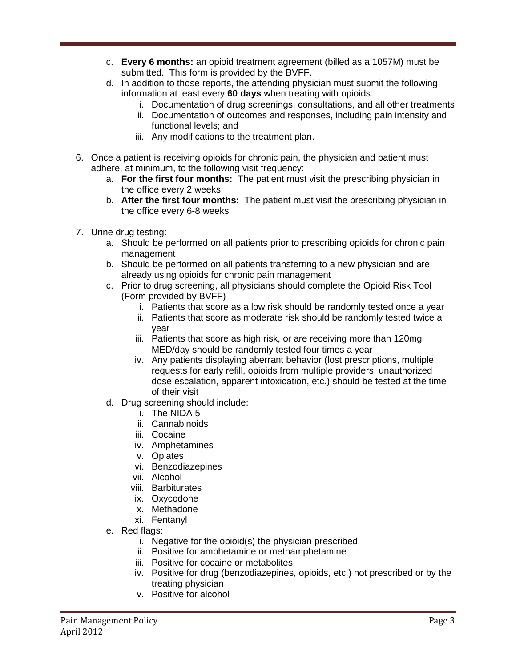- c. **Every 6 months:** an opioid treatment agreement (billed as a 1057M) must be submitted. This form is provided by the BVFF.
- d. In addition to those reports, the attending physician must submit the following information at least every **60 days** when treating with opioids:
	- i. Documentation of drug screenings, consultations, and all other treatments
	- ii. Documentation of outcomes and responses, including pain intensity and functional levels; and
	- iii. Any modifications to the treatment plan.
- 6. Once a patient is receiving opioids for chronic pain, the physician and patient must adhere, at minimum, to the following visit frequency:
	- a. **For the first four months:** The patient must visit the prescribing physician in the office every 2 weeks
	- b. **After the first four months:** The patient must visit the prescribing physician in the office every 6-8 weeks
- 7. Urine drug testing:
	- a. Should be performed on all patients prior to prescribing opioids for chronic pain management
	- b. Should be performed on all patients transferring to a new physician and are already using opioids for chronic pain management
	- c. Prior to drug screening, all physicians should complete the Opioid Risk Tool (Form provided by BVFF)
		- i. Patients that score as a low risk should be randomly tested once a year
		- ii. Patients that score as moderate risk should be randomly tested twice a year
		- iii. Patients that score as high risk, or are receiving more than 120mg MED/day should be randomly tested four times a year
		- iv. Any patients displaying aberrant behavior (lost prescriptions, multiple requests for early refill, opioids from multiple providers, unauthorized dose escalation, apparent intoxication, etc.) should be tested at the time of their visit
	- d. Drug screening should include:
		- i. The NIDA 5
			- ii. Cannabinoids
			- iii. Cocaine
			- iv. Amphetamines
			- v. Opiates
			- vi. Benzodiazepines
		- vii. Alcohol
		- viii. Barbiturates
		- ix. Oxycodone
		- x. Methadone
		- xi. Fentanyl
	- e. Red flags:
		- i. Negative for the opioid(s) the physician prescribed
		- ii. Positive for amphetamine or methamphetamine
		- iii. Positive for cocaine or metabolites
		- iv. Positive for drug (benzodiazepines, opioids, etc.) not prescribed or by the treating physician
		- v. Positive for alcohol